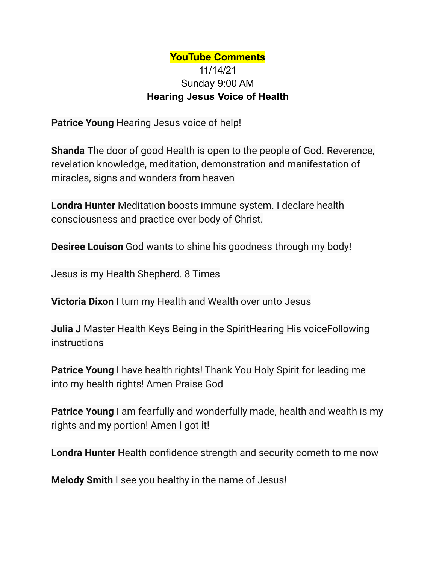## **YouTube Comments** 11/14/21 Sunday 9:00 AM **Hearing Jesus Voice of Health**

**Patrice Young** Hearing Jesus voice of help!

**Shanda** The door of good Health is open to the people of God. Reverence, revelation knowledge, meditation, demonstration and manifestation of miracles, signs and wonders from heaven

**Londra Hunter** Meditation boosts immune system. I declare health consciousness and practice over body of Christ.

**Desiree Louison** God wants to shine his goodness through my body!

Jesus is my Health Shepherd. 8 Times

**Victoria Dixon** I turn my Health and Wealth over unto Jesus

**Julia J** Master Health Keys Being in the SpiritHearing His voiceFollowing instructions

**Patrice Young** I have health rights! Thank You Holy Spirit for leading me into my health rights! Amen Praise God

**Patrice Young** I am fearfully and wonderfully made, health and wealth is my rights and my portion! Amen I got it!

**Londra Hunter** Health confidence strength and security cometh to me now

**Melody Smith** I see you healthy in the name of Jesus!